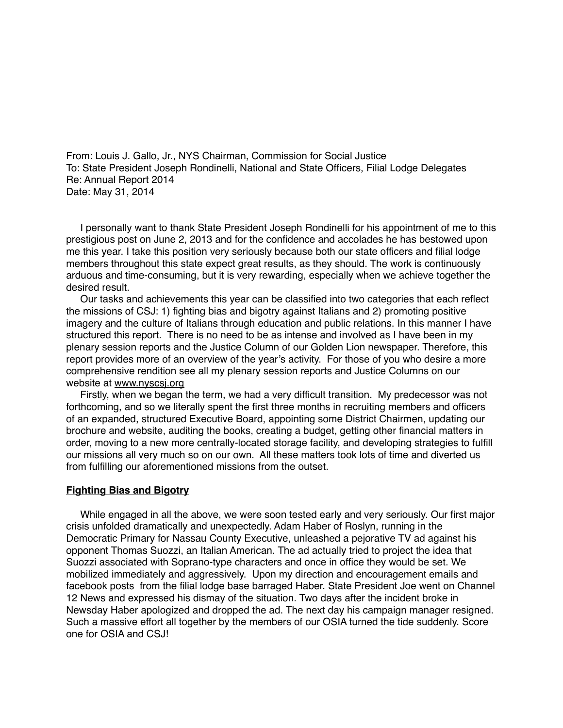From: Louis J. Gallo, Jr., NYS Chairman, Commission for Social Justice To: State President Joseph Rondinelli, National and State Officers, Filial Lodge Delegates Re: Annual Report 2014 Date: May 31, 2014

 I personally want to thank State President Joseph Rondinelli for his appointment of me to this prestigious post on June 2, 2013 and for the confidence and accolades he has bestowed upon me this year. I take this position very seriously because both our state officers and filial lodge members throughout this state expect great results, as they should. The work is continuously arduous and time-consuming, but it is very rewarding, especially when we achieve together the desired result.

 Our tasks and achievements this year can be classified into two categories that each reflect the missions of CSJ: 1) fighting bias and bigotry against Italians and 2) promoting positive imagery and the culture of Italians through education and public relations. In this manner I have structured this report. There is no need to be as intense and involved as I have been in my plenary session reports and the Justice Column of our Golden Lion newspaper. Therefore, this report provides more of an overview of the year's activity. For those of you who desire a more comprehensive rendition see all my plenary session reports and Justice Columns on our website at [www.nyscsj.org](http://www.nyscsj.org)

 Firstly, when we began the term, we had a very difficult transition. My predecessor was not forthcoming, and so we literally spent the first three months in recruiting members and officers of an expanded, structured Executive Board, appointing some District Chairmen, updating our brochure and website, auditing the books, creating a budget, getting other financial matters in order, moving to a new more centrally-located storage facility, and developing strategies to fulfill our missions all very much so on our own. All these matters took lots of time and diverted us from fulfilling our aforementioned missions from the outset.

## **Fighting Bias and Bigotry**

 While engaged in all the above, we were soon tested early and very seriously. Our first major crisis unfolded dramatically and unexpectedly. Adam Haber of Roslyn, running in the Democratic Primary for Nassau County Executive, unleashed a pejorative TV ad against his opponent Thomas Suozzi, an Italian American. The ad actually tried to project the idea that Suozzi associated with Soprano-type characters and once in office they would be set. We mobilized immediately and aggressively. Upon my direction and encouragement emails and facebook posts from the filial lodge base barraged Haber. State President Joe went on Channel 12 News and expressed his dismay of the situation. Two days after the incident broke in Newsday Haber apologized and dropped the ad. The next day his campaign manager resigned. Such a massive effort all together by the members of our OSIA turned the tide suddenly. Score one for OSIA and CSJ!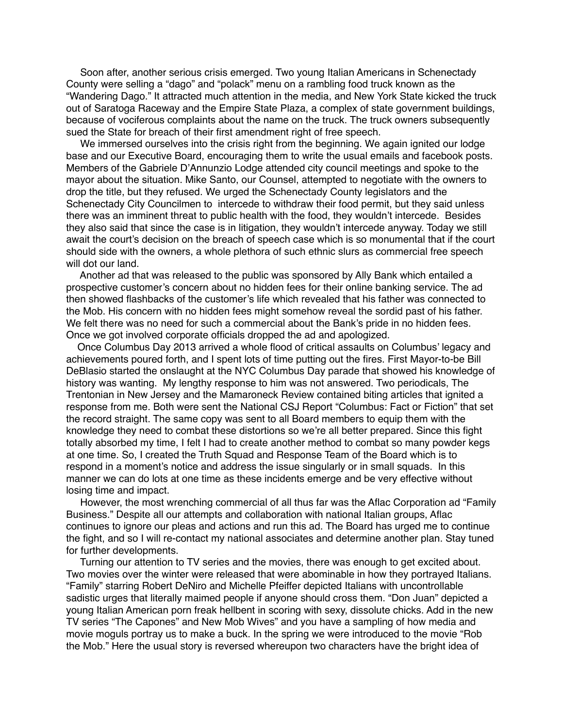Soon after, another serious crisis emerged. Two young Italian Americans in Schenectady County were selling a "dago" and "polack" menu on a rambling food truck known as the "Wandering Dago." It attracted much attention in the media, and New York State kicked the truck out of Saratoga Raceway and the Empire State Plaza, a complex of state government buildings, because of vociferous complaints about the name on the truck. The truck owners subsequently sued the State for breach of their first amendment right of free speech.

We immersed ourselves into the crisis right from the beginning. We again ignited our lodge base and our Executive Board, encouraging them to write the usual emails and facebook posts. Members of the Gabriele D'Annunzio Lodge attended city council meetings and spoke to the mayor about the situation. Mike Santo, our Counsel, attempted to negotiate with the owners to drop the title, but they refused. We urged the Schenectady County legislators and the Schenectady City Councilmen to intercede to withdraw their food permit, but they said unless there was an imminent threat to public health with the food, they wouldn't intercede. Besides they also said that since the case is in litigation, they wouldn't intercede anyway. Today we still await the court's decision on the breach of speech case which is so monumental that if the court should side with the owners, a whole plethora of such ethnic slurs as commercial free speech will dot our land.

 Another ad that was released to the public was sponsored by Ally Bank which entailed a prospective customer's concern about no hidden fees for their online banking service. The ad then showed flashbacks of the customer's life which revealed that his father was connected to the Mob. His concern with no hidden fees might somehow reveal the sordid past of his father. We felt there was no need for such a commercial about the Bank's pride in no hidden fees. Once we got involved corporate officials dropped the ad and apologized.

 Once Columbus Day 2013 arrived a whole flood of critical assaults on Columbus' legacy and achievements poured forth, and I spent lots of time putting out the fires. First Mayor-to-be Bill DeBlasio started the onslaught at the NYC Columbus Day parade that showed his knowledge of history was wanting. My lengthy response to him was not answered. Two periodicals, The Trentonian in New Jersey and the Mamaroneck Review contained biting articles that ignited a response from me. Both were sent the National CSJ Report "Columbus: Fact or Fiction" that set the record straight. The same copy was sent to all Board members to equip them with the knowledge they need to combat these distortions so we're all better prepared. Since this fight totally absorbed my time, I felt I had to create another method to combat so many powder kegs at one time. So, I created the Truth Squad and Response Team of the Board which is to respond in a moment's notice and address the issue singularly or in small squads. In this manner we can do lots at one time as these incidents emerge and be very effective without losing time and impact.

 However, the most wrenching commercial of all thus far was the Aflac Corporation ad "Family Business." Despite all our attempts and collaboration with national Italian groups, Aflac continues to ignore our pleas and actions and run this ad. The Board has urged me to continue the fight, and so I will re-contact my national associates and determine another plan. Stay tuned for further developments.

 Turning our attention to TV series and the movies, there was enough to get excited about. Two movies over the winter were released that were abominable in how they portrayed Italians. "Family" starring Robert DeNiro and Michelle Pfeiffer depicted Italians with uncontrollable sadistic urges that literally maimed people if anyone should cross them. "Don Juan" depicted a young Italian American porn freak hellbent in scoring with sexy, dissolute chicks. Add in the new TV series "The Capones" and New Mob Wives" and you have a sampling of how media and movie moguls portray us to make a buck. In the spring we were introduced to the movie "Rob the Mob." Here the usual story is reversed whereupon two characters have the bright idea of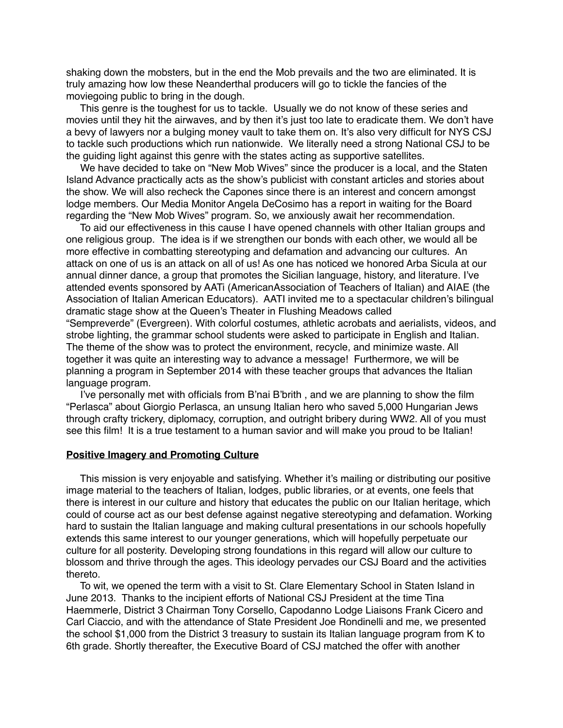shaking down the mobsters, but in the end the Mob prevails and the two are eliminated. It is truly amazing how low these Neanderthal producers will go to tickle the fancies of the moviegoing public to bring in the dough.

 This genre is the toughest for us to tackle. Usually we do not know of these series and movies until they hit the airwaves, and by then it's just too late to eradicate them. We don't have a bevy of lawyers nor a bulging money vault to take them on. It's also very difficult for NYS CSJ to tackle such productions which run nationwide. We literally need a strong National CSJ to be the guiding light against this genre with the states acting as supportive satellites.

 We have decided to take on "New Mob Wives" since the producer is a local, and the Staten Island Advance practically acts as the show's publicist with constant articles and stories about the show. We will also recheck the Capones since there is an interest and concern amongst lodge members. Our Media Monitor Angela DeCosimo has a report in waiting for the Board regarding the "New Mob Wives" program. So, we anxiously await her recommendation.

 To aid our effectiveness in this cause I have opened channels with other Italian groups and one religious group. The idea is if we strengthen our bonds with each other, we would all be more effective in combatting stereotyping and defamation and advancing our cultures. An attack on one of us is an attack on all of us! As one has noticed we honored Arba Sicula at our annual dinner dance, a group that promotes the Sicilian language, history, and literature. I've attended events sponsored by AATi (AmericanAssociation of Teachers of Italian) and AIAE (the Association of Italian American Educators). AATI invited me to a spectacular children's bilingual dramatic stage show at the Queen's Theater in Flushing Meadows called "Sempreverde" (Evergreen). With colorful costumes, athletic acrobats and aerialists, videos, and

strobe lighting, the grammar school students were asked to participate in English and Italian. The theme of the show was to protect the environment, recycle, and minimize waste. All together it was quite an interesting way to advance a message! Furthermore, we will be planning a program in September 2014 with these teacher groups that advances the Italian language program.

 I've personally met with officials from B'nai B'brith , and we are planning to show the film "Perlasca" about Giorgio Perlasca, an unsung Italian hero who saved 5,000 Hungarian Jews through crafty trickery, diplomacy, corruption, and outright bribery during WW2. All of you must see this film! It is a true testament to a human savior and will make you proud to be Italian!

## **Positive Imagery and Promoting Culture**

 This mission is very enjoyable and satisfying. Whether it's mailing or distributing our positive image material to the teachers of Italian, lodges, public libraries, or at events, one feels that there is interest in our culture and history that educates the public on our Italian heritage, which could of course act as our best defense against negative stereotyping and defamation. Working hard to sustain the Italian language and making cultural presentations in our schools hopefully extends this same interest to our younger generations, which will hopefully perpetuate our culture for all posterity. Developing strong foundations in this regard will allow our culture to blossom and thrive through the ages. This ideology pervades our CSJ Board and the activities thereto.

 To wit, we opened the term with a visit to St. Clare Elementary School in Staten Island in June 2013. Thanks to the incipient efforts of National CSJ President at the time Tina Haemmerle, District 3 Chairman Tony Corsello, Capodanno Lodge Liaisons Frank Cicero and Carl Ciaccio, and with the attendance of State President Joe Rondinelli and me, we presented the school \$1,000 from the District 3 treasury to sustain its Italian language program from K to 6th grade. Shortly thereafter, the Executive Board of CSJ matched the offer with another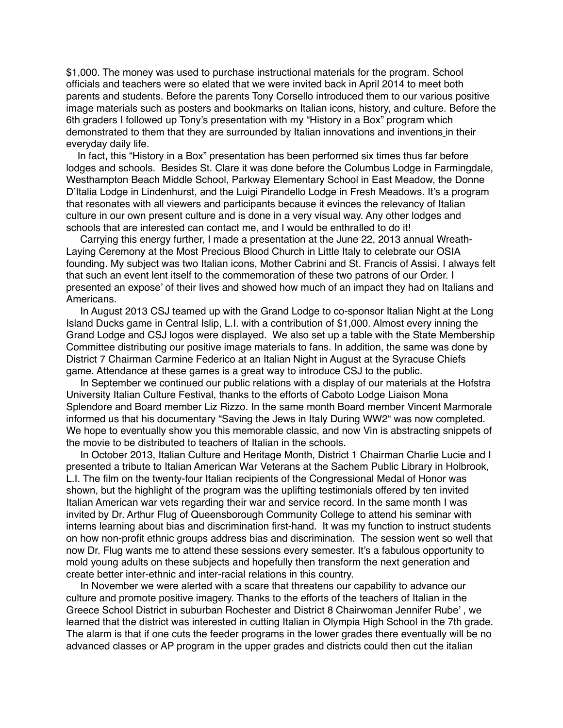\$1,000. The money was used to purchase instructional materials for the program. School officials and teachers were so elated that we were invited back in April 2014 to meet both parents and students. Before the parents Tony Corsello introduced them to our various positive image materials such as posters and bookmarks on Italian icons, history, and culture. Before the 6th graders I followed up Tony's presentation with my "History in a Box" program which demonstrated to them that they are surrounded by Italian innovations and inventions in their everyday daily life.

 In fact, this "History in a Box" presentation has been performed six times thus far before lodges and schools. Besides St. Clare it was done before the Columbus Lodge in Farmingdale, Westhampton Beach Middle School, Parkway Elementary School in East Meadow, the Donne D'Italia Lodge in Lindenhurst, and the Luigi Pirandello Lodge in Fresh Meadows. It's a program that resonates with all viewers and participants because it evinces the relevancy of Italian culture in our own present culture and is done in a very visual way. Any other lodges and schools that are interested can contact me, and I would be enthralled to do it!

 Carrying this energy further, I made a presentation at the June 22, 2013 annual Wreath-Laying Ceremony at the Most Precious Blood Church in Little Italy to celebrate our OSIA founding. My subject was two Italian icons, Mother Cabrini and St. Francis of Assisi. I always felt that such an event lent itself to the commemoration of these two patrons of our Order. I presented an expose' of their lives and showed how much of an impact they had on Italians and Americans.

 In August 2013 CSJ teamed up with the Grand Lodge to co-sponsor Italian Night at the Long Island Ducks game in Central Islip, L.I. with a contribution of \$1,000. Almost every inning the Grand Lodge and CSJ logos were displayed. We also set up a table with the State Membership Committee distributing our positive image materials to fans. In addition, the same was done by District 7 Chairman Carmine Federico at an Italian Night in August at the Syracuse Chiefs game. Attendance at these games is a great way to introduce CSJ to the public.

 In September we continued our public relations with a display of our materials at the Hofstra University Italian Culture Festival, thanks to the efforts of Caboto Lodge Liaison Mona Splendore and Board member Liz Rizzo. In the same month Board member Vincent Marmorale informed us that his documentary "Saving the Jews in Italy During WW2" was now completed. We hope to eventually show you this memorable classic, and now Vin is abstracting snippets of the movie to be distributed to teachers of Italian in the schools.

 In October 2013, Italian Culture and Heritage Month, District 1 Chairman Charlie Lucie and I presented a tribute to Italian American War Veterans at the Sachem Public Library in Holbrook, L.I. The film on the twenty-four Italian recipients of the Congressional Medal of Honor was shown, but the highlight of the program was the uplifting testimonials offered by ten invited Italian American war vets regarding their war and service record. In the same month I was invited by Dr. Arthur Flug of Queensborough Community College to attend his seminar with interns learning about bias and discrimination first-hand. It was my function to instruct students on how non-profit ethnic groups address bias and discrimination. The session went so well that now Dr. Flug wants me to attend these sessions every semester. It's a fabulous opportunity to mold young adults on these subjects and hopefully then transform the next generation and create better inter-ethnic and inter-racial relations in this country.

 In November we were alerted with a scare that threatens our capability to advance our culture and promote positive imagery. Thanks to the efforts of the teachers of Italian in the Greece School District in suburban Rochester and District 8 Chairwoman Jennifer Rube' , we learned that the district was interested in cutting Italian in Olympia High School in the 7th grade. The alarm is that if one cuts the feeder programs in the lower grades there eventually will be no advanced classes or AP program in the upper grades and districts could then cut the italian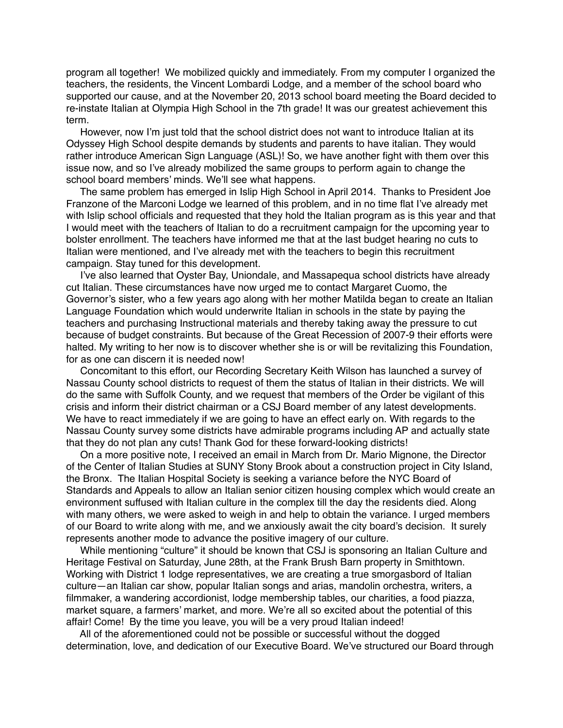program all together! We mobilized quickly and immediately. From my computer I organized the teachers, the residents, the Vincent Lombardi Lodge, and a member of the school board who supported our cause, and at the November 20, 2013 school board meeting the Board decided to re-instate Italian at Olympia High School in the 7th grade! It was our greatest achievement this term.

 However, now I'm just told that the school district does not want to introduce Italian at its Odyssey High School despite demands by students and parents to have italian. They would rather introduce American Sign Language (ASL)! So, we have another fight with them over this issue now, and so I've already mobilized the same groups to perform again to change the school board members' minds. We'll see what happens.

 The same problem has emerged in Islip High School in April 2014. Thanks to President Joe Franzone of the Marconi Lodge we learned of this problem, and in no time flat I've already met with Islip school officials and requested that they hold the Italian program as is this year and that I would meet with the teachers of Italian to do a recruitment campaign for the upcoming year to bolster enrollment. The teachers have informed me that at the last budget hearing no cuts to Italian were mentioned, and I've already met with the teachers to begin this recruitment campaign. Stay tuned for this development.

 I've also learned that Oyster Bay, Uniondale, and Massapequa school districts have already cut Italian. These circumstances have now urged me to contact Margaret Cuomo, the Governor's sister, who a few years ago along with her mother Matilda began to create an Italian Language Foundation which would underwrite Italian in schools in the state by paying the teachers and purchasing Instructional materials and thereby taking away the pressure to cut because of budget constraints. But because of the Great Recession of 2007-9 their efforts were halted. My writing to her now is to discover whether she is or will be revitalizing this Foundation, for as one can discern it is needed now!

 Concomitant to this effort, our Recording Secretary Keith Wilson has launched a survey of Nassau County school districts to request of them the status of Italian in their districts. We will do the same with Suffolk County, and we request that members of the Order be vigilant of this crisis and inform their district chairman or a CSJ Board member of any latest developments. We have to react immediately if we are going to have an effect early on. With regards to the Nassau County survey some districts have admirable programs including AP and actually state that they do not plan any cuts! Thank God for these forward-looking districts!

 On a more positive note, I received an email in March from Dr. Mario Mignone, the Director of the Center of Italian Studies at SUNY Stony Brook about a construction project in City Island, the Bronx. The Italian Hospital Society is seeking a variance before the NYC Board of Standards and Appeals to allow an Italian senior citizen housing complex which would create an environment suffused with Italian culture in the complex till the day the residents died. Along with many others, we were asked to weigh in and help to obtain the variance. I urged members of our Board to write along with me, and we anxiously await the city board's decision. It surely represents another mode to advance the positive imagery of our culture.

 While mentioning "culture" it should be known that CSJ is sponsoring an Italian Culture and Heritage Festival on Saturday, June 28th, at the Frank Brush Barn property in Smithtown. Working with District 1 lodge representatives, we are creating a true smorgasbord of Italian culture—an Italian car show, popular Italian songs and arias, mandolin orchestra, writers, a filmmaker, a wandering accordionist, lodge membership tables, our charities, a food piazza, market square, a farmers' market, and more. We're all so excited about the potential of this affair! Come! By the time you leave, you will be a very proud Italian indeed!

 All of the aforementioned could not be possible or successful without the dogged determination, love, and dedication of our Executive Board. We've structured our Board through